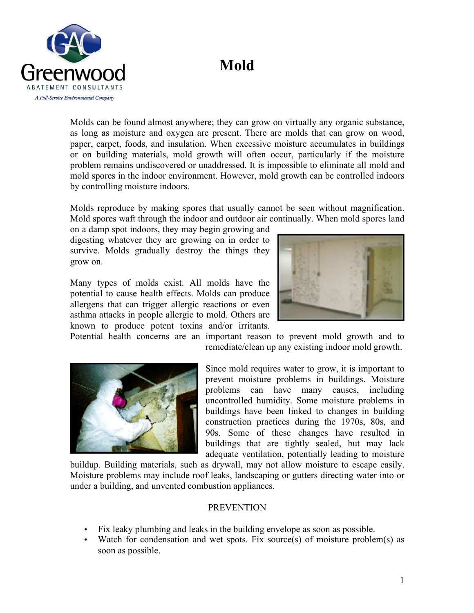## **Mold**



Molds can be found almost anywhere; they can grow on virtually any organic substance, as long as moisture and oxygen are present. There are molds that can grow on wood, paper, carpet, foods, and insulation. When excessive moisture accumulates in buildings or on building materials, mold growth will often occur, particularly if the moisture problem remains undiscovered or unaddressed. It is impossible to eliminate all mold and mold spores in the indoor environment. However, mold growth can be controlled indoors by controlling moisture indoors.

Molds reproduce by making spores that usually cannot be seen without magnification. Mold spores waft through the indoor and outdoor air continually. When mold spores land

on a damp spot indoors, they may begin growing and digesting whatever they are growing on in order to survive. Molds gradually destroy the things they grow on.

Many types of molds exist. All molds have the potential to cause health effects. Molds can produce allergens that can trigger allergic reactions or even asthma attacks in people allergic to mold. Others are known to produce potent toxins and/or irritants.



Potential health concerns are an important reason to prevent mold growth and to remediate/clean up any existing indoor mold growth.



Since mold requires water to grow, it is important to prevent moisture problems in buildings. Moisture problems can have many causes, including uncontrolled humidity. Some moisture problems in buildings have been linked to changes in building construction practices during the 1970s, 80s, and 90s. Some of these changes have resulted in buildings that are tightly sealed, but may lack adequate ventilation, potentially leading to moisture

buildup. Building materials, such as drywall, may not allow moisture to escape easily. Moisture problems may include roof leaks, landscaping or gutters directing water into or under a building, and unvented combustion appliances.

## **PREVENTION**

- Fix leaky plumbing and leaks in the building envelope as soon as possible.
- Watch for condensation and wet spots. Fix source(s) of moisture problem(s) as soon as possible.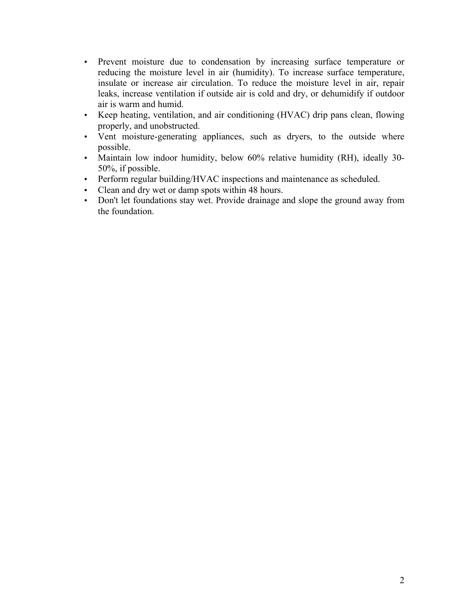- Prevent moisture due to condensation by increasing surface temperature or reducing the moisture level in air (humidity). To increase surface temperature, insulate or increase air circulation. To reduce the moisture level in air, repair leaks, increase ventilation if outside air is cold and dry, or dehumidify if outdoor air is warm and humid.
- Keep heating, ventilation, and air conditioning (HVAC) drip pans clean, flowing properly, and unobstructed.
- Vent moisture-generating appliances, such as dryers, to the outside where possible.
- Maintain low indoor humidity, below 60% relative humidity (RH), ideally 30- 50%, if possible.
- Perform regular building/HVAC inspections and maintenance as scheduled.
- Clean and dry wet or damp spots within 48 hours.
- Don't let foundations stay wet. Provide drainage and slope the ground away from the foundation.